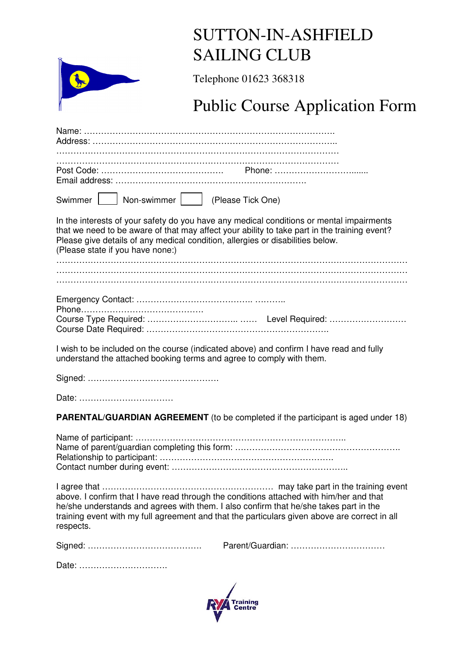|                                  | <b>SUTTON-IN-ASHFIELD</b>                                                                                                                                                                                                                                                         |  |  |  |
|----------------------------------|-----------------------------------------------------------------------------------------------------------------------------------------------------------------------------------------------------------------------------------------------------------------------------------|--|--|--|
|                                  | <b>SAILING CLUB</b><br>Telephone 01623 368318<br><b>Public Course Application Form</b>                                                                                                                                                                                            |  |  |  |
|                                  |                                                                                                                                                                                                                                                                                   |  |  |  |
|                                  |                                                                                                                                                                                                                                                                                   |  |  |  |
|                                  |                                                                                                                                                                                                                                                                                   |  |  |  |
|                                  |                                                                                                                                                                                                                                                                                   |  |  |  |
|                                  |                                                                                                                                                                                                                                                                                   |  |  |  |
| Swimmer                          | Non-swimmer     (Please Tick One)                                                                                                                                                                                                                                                 |  |  |  |
| (Please state if you have none:) | In the interests of your safety do you have any medical conditions or mental impairments<br>that we need to be aware of that may affect your ability to take part in the training event?<br>Please give details of any medical condition, allergies or disabilities below.        |  |  |  |
|                                  |                                                                                                                                                                                                                                                                                   |  |  |  |
|                                  |                                                                                                                                                                                                                                                                                   |  |  |  |
|                                  |                                                                                                                                                                                                                                                                                   |  |  |  |
|                                  | I wish to be included on the course (indicated above) and confirm I have read and fully<br>understand the attached booking terms and agree to comply with them.                                                                                                                   |  |  |  |
|                                  |                                                                                                                                                                                                                                                                                   |  |  |  |
| Date:                            |                                                                                                                                                                                                                                                                                   |  |  |  |
|                                  | <b>PARENTAL/GUARDIAN AGREEMENT</b> (to be completed if the participant is aged under 18)                                                                                                                                                                                          |  |  |  |
|                                  |                                                                                                                                                                                                                                                                                   |  |  |  |
| respects.                        | above. I confirm that I have read through the conditions attached with him/her and that<br>he/she understands and agrees with them. I also confirm that he/she takes part in the<br>training event with my full agreement and that the particulars given above are correct in all |  |  |  |
|                                  |                                                                                                                                                                                                                                                                                   |  |  |  |
| Date:                            |                                                                                                                                                                                                                                                                                   |  |  |  |

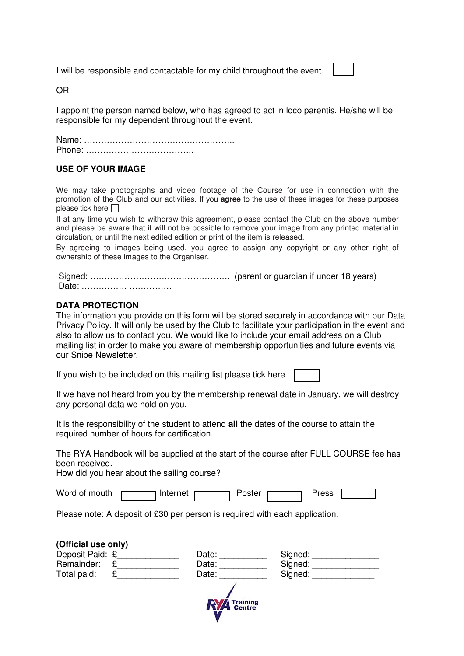I will be responsible and contactable for my child throughout the event.

OR

I appoint the person named below, who has agreed to act in loco parentis. He/she will be responsible for my dependent throughout the event.

Name: …………………………………………….. Phone: ………………………………..

# **USE OF YOUR IMAGE**

We may take photographs and video footage of the Course for use in connection with the promotion of the Club and our activities. If you **agree** to the use of these images for these purposes please tick here  $\Box$ 

If at any time you wish to withdraw this agreement, please contact the Club on the above number and please be aware that it will not be possible to remove your image from any printed material in circulation, or until the next edited edition or print of the item is released.

By agreeing to images being used, you agree to assign any copyright or any other right of ownership of these images to the Organiser.

| Date: |  |
|-------|--|

# **DATA PROTECTION**

The information you provide on this form will be stored securely in accordance with our Data Privacy Policy. It will only be used by the Club to facilitate your participation in the event and also to allow us to contact you. We would like to include your email address on a Club mailing list in order to make you aware of membership opportunities and future events via our Snipe Newsletter.

If you wish to be included on this mailing list please tick here

If we have not heard from you by the membership renewal date in January, we will destroy any personal data we hold on you.

It is the responsibility of the student to attend **all** the dates of the course to attain the required number of hours for certification.

The RYA Handbook will be supplied at the start of the course after FULL COURSE fee has been received.

How did you hear about the sailing course?

| Word of mouth | Internet | Poster | <b>Press</b> |  |  |
|---------------|----------|--------|--------------|--|--|
|---------------|----------|--------|--------------|--|--|

Please note: A deposit of £30 per person is required with each application.

| (Official use only) |                     |         |
|---------------------|---------------------|---------|
| Deposit Paid: £     | Date:               | Signed: |
| Remainder:          | Date:               | Signed: |
| Total paid:         | Date:               | Signed: |
|                     | <b>NVA</b> Training |         |

**Centre**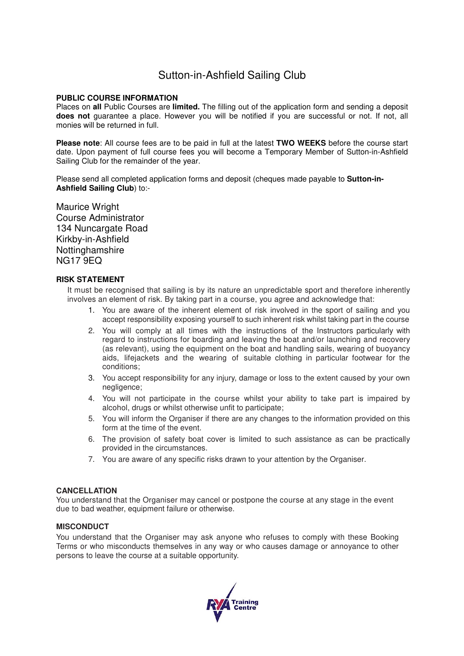# Sutton-in-Ashfield Sailing Club

## **PUBLIC COURSE INFORMATION**

Places on **all** Public Courses are **limited.** The filling out of the application form and sending a deposit **does not** guarantee a place. However you will be notified if you are successful or not. If not, all monies will be returned in full.

**Please note**: All course fees are to be paid in full at the latest **TWO WEEKS** before the course start date. Upon payment of full course fees you will become a Temporary Member of Sutton-in-Ashfield Sailing Club for the remainder of the year.

Please send all completed application forms and deposit (cheques made payable to **Sutton-in-Ashfield Sailing Club**) to:-

Maurice Wright Course Administrator 134 Nuncargate Road Kirkby-in-Ashfield Nottinghamshire NG17 9EQ

### **RISK STATEMENT**

It must be recognised that sailing is by its nature an unpredictable sport and therefore inherently involves an element of risk. By taking part in a course, you agree and acknowledge that:

- 1. You are aware of the inherent element of risk involved in the sport of sailing and you accept responsibility exposing yourself to such inherent risk whilst taking part in the course
- 2. You will comply at all times with the instructions of the Instructors particularly with regard to instructions for boarding and leaving the boat and/or launching and recovery (as relevant), using the equipment on the boat and handling sails, wearing of buoyancy aids, lifejackets and the wearing of suitable clothing in particular footwear for the conditions;
- 3. You accept responsibility for any injury, damage or loss to the extent caused by your own negligence;
- 4. You will not participate in the course whilst your ability to take part is impaired by alcohol, drugs or whilst otherwise unfit to participate;
- 5. You will inform the Organiser if there are any changes to the information provided on this form at the time of the event.
- 6. The provision of safety boat cover is limited to such assistance as can be practically provided in the circumstances.
- 7. You are aware of any specific risks drawn to your attention by the Organiser.

#### **CANCELLATION**

You understand that the Organiser may cancel or postpone the course at any stage in the event due to bad weather, equipment failure or otherwise.

#### **MISCONDUCT**

You understand that the Organiser may ask anyone who refuses to comply with these Booking Terms or who misconducts themselves in any way or who causes damage or annoyance to other persons to leave the course at a suitable opportunity.